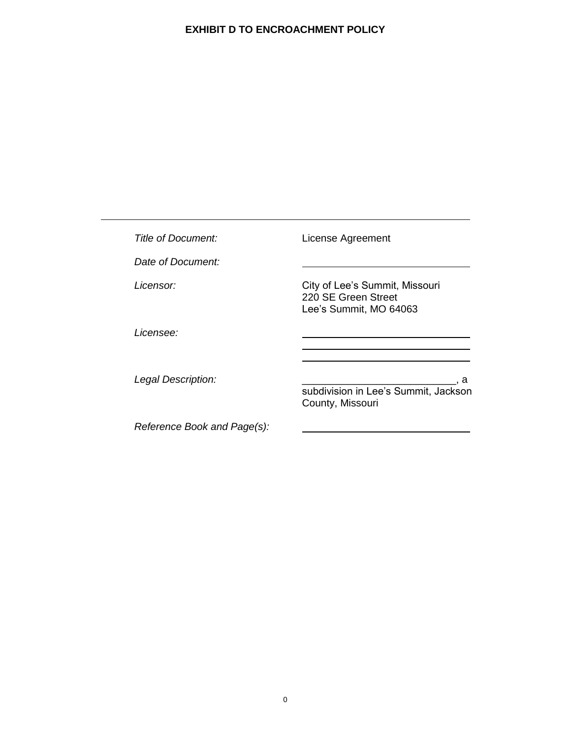| Title of Document:          | License Agreement                                                               |
|-----------------------------|---------------------------------------------------------------------------------|
| Date of Document:           |                                                                                 |
| <i>Licensor:</i>            | City of Lee's Summit, Missouri<br>220 SE Green Street<br>Lee's Summit, MO 64063 |
| <i>Licensee:</i>            |                                                                                 |
| Legal Description:          | a<br>subdivision in Lee's Summit, Jackson<br>County, Missouri                   |
| Reference Book and Page(s): |                                                                                 |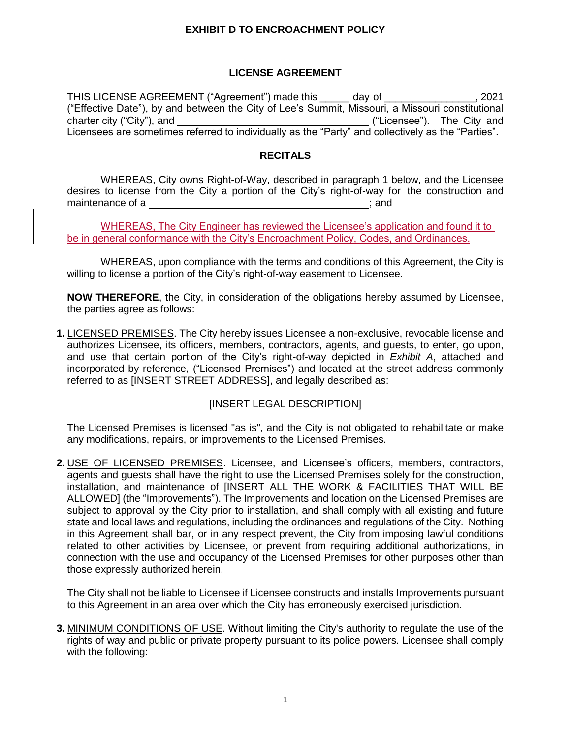#### **LICENSE AGREEMENT**

THIS LICENSE AGREEMENT ("Agreement") made this \_\_\_\_\_ day of \_\_\_\_\_\_\_\_\_\_\_\_\_\_\_\_, 2021 ("Effective Date"), by and between the City of Lee's Summit, Missouri, a Missouri constitutional charter city ("City"), and  $($ "Licensee"). The City and Licensees are sometimes referred to individually as the "Party" and collectively as the "Parties".

#### **RECITALS**

WHEREAS, City owns Right-of-Way, described in paragraph 1 below, and the Licensee desires to license from the City a portion of the City's right-of-way for the construction and maintenance of a ; and ; and ; and ; and ; and ; and ; and ; and ; and ; and ; and ; and ; and ; and ; and ; and ; and ; and ; and ; and ; and ; and ; and ; and ; and ; and ; and ; and ; and ; and ; and ; and ; and ; and ;

WHEREAS, The City Engineer has reviewed the Licensee's application and found it to be in general conformance with the City's Encroachment Policy, Codes, and Ordinances.

WHEREAS, upon compliance with the terms and conditions of this Agreement, the City is willing to license a portion of the City's right-of-way easement to Licensee.

**NOW THEREFORE**, the City, in consideration of the obligations hereby assumed by Licensee, the parties agree as follows:

**1.** LICENSED PREMISES. The City hereby issues Licensee a non-exclusive, revocable license and authorizes Licensee, its officers, members, contractors, agents, and guests, to enter, go upon, and use that certain portion of the City's right-of-way depicted in *Exhibit A*, attached and incorporated by reference, ("Licensed Premises") and located at the street address commonly referred to as [INSERT STREET ADDRESS], and legally described as:

## [INSERT LEGAL DESCRIPTION]

The Licensed Premises is licensed "as is", and the City is not obligated to rehabilitate or make any modifications, repairs, or improvements to the Licensed Premises.

**2.** USE OF LICENSED PREMISES. Licensee, and Licensee's officers, members, contractors, agents and guests shall have the right to use the Licensed Premises solely for the construction, installation, and maintenance of [INSERT ALL THE WORK & FACILITIES THAT WILL BE ALLOWED] (the "Improvements"). The Improvements and location on the Licensed Premises are subject to approval by the City prior to installation, and shall comply with all existing and future state and local laws and regulations, including the ordinances and regulations of the City. Nothing in this Agreement shall bar, or in any respect prevent, the City from imposing lawful conditions related to other activities by Licensee, or prevent from requiring additional authorizations, in connection with the use and occupancy of the Licensed Premises for other purposes other than those expressly authorized herein.

The City shall not be liable to Licensee if Licensee constructs and installs Improvements pursuant to this Agreement in an area over which the City has erroneously exercised jurisdiction.

**3.** MINIMUM CONDITIONS OF USE. Without limiting the City's authority to regulate the use of the rights of way and public or private property pursuant to its police powers. Licensee shall comply with the following: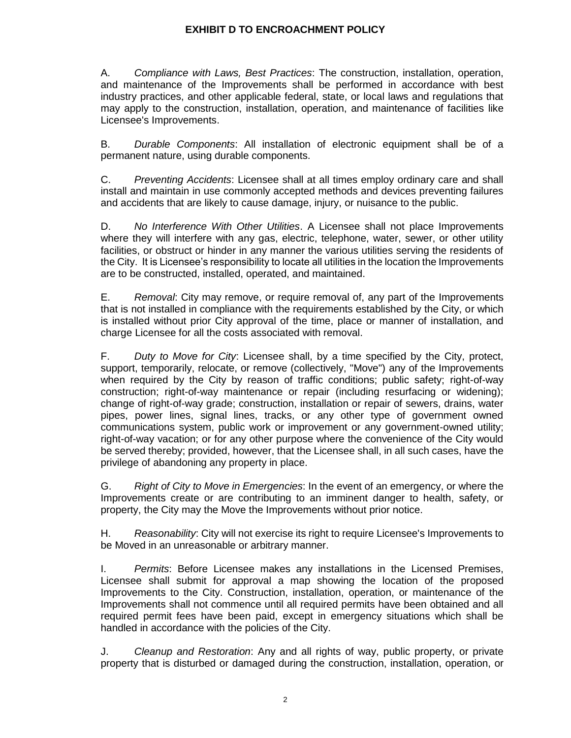A. *Compliance with Laws, Best Practices*: The construction, installation, operation, and maintenance of the Improvements shall be performed in accordance with best industry practices, and other applicable federal, state, or local laws and regulations that may apply to the construction, installation, operation, and maintenance of facilities like Licensee's Improvements.

B. *Durable Components*: All installation of electronic equipment shall be of a permanent nature, using durable components.

C. *Preventing Accidents*: Licensee shall at all times employ ordinary care and shall install and maintain in use commonly accepted methods and devices preventing failures and accidents that are likely to cause damage, injury, or nuisance to the public.

D. *No Interference With Other Utilities*. A Licensee shall not place Improvements where they will interfere with any gas, electric, telephone, water, sewer, or other utility facilities, or obstruct or hinder in any manner the various utilities serving the residents of the City. It is Licensee's responsibility to locate all utilities in the location the Improvements are to be constructed, installed, operated, and maintained.

E. *Removal*: City may remove, or require removal of, any part of the Improvements that is not installed in compliance with the requirements established by the City, or which is installed without prior City approval of the time, place or manner of installation, and charge Licensee for all the costs associated with removal.

F. *Duty to Move for City*: Licensee shall, by a time specified by the City, protect, support, temporarily, relocate, or remove (collectively, "Move") any of the Improvements when required by the City by reason of traffic conditions; public safety; right-of-way construction; right-of-way maintenance or repair (including resurfacing or widening); change of right-of-way grade; construction, installation or repair of sewers, drains, water pipes, power lines, signal lines, tracks, or any other type of government owned communications system, public work or improvement or any government-owned utility; right-of-way vacation; or for any other purpose where the convenience of the City would be served thereby; provided, however, that the Licensee shall, in all such cases, have the privilege of abandoning any property in place.

G. *Right of City to Move in Emergencies*: In the event of an emergency, or where the Improvements create or are contributing to an imminent danger to health, safety, or property, the City may the Move the Improvements without prior notice.

H. *Reasonability*: City will not exercise its right to require Licensee's Improvements to be Moved in an unreasonable or arbitrary manner.

I. *Permits*: Before Licensee makes any installations in the Licensed Premises, Licensee shall submit for approval a map showing the location of the proposed Improvements to the City. Construction, installation, operation, or maintenance of the Improvements shall not commence until all required permits have been obtained and all required permit fees have been paid, except in emergency situations which shall be handled in accordance with the policies of the City.

J. *Cleanup and Restoration*: Any and all rights of way, public property, or private property that is disturbed or damaged during the construction, installation, operation, or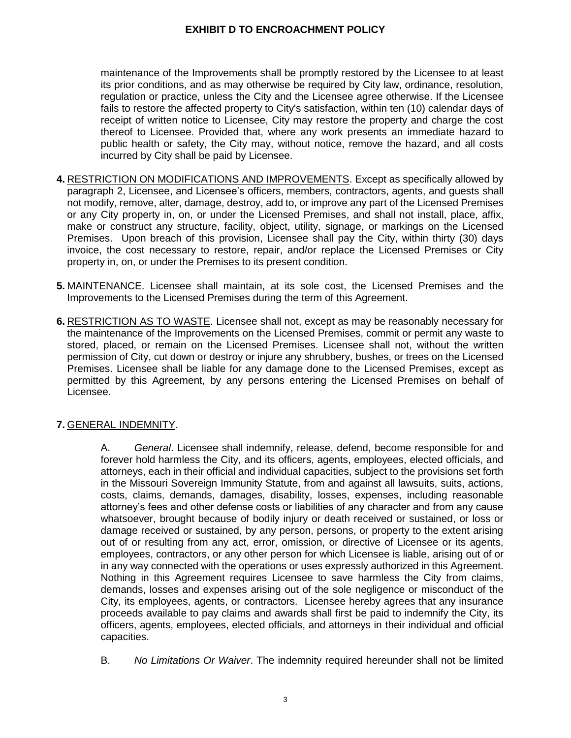maintenance of the Improvements shall be promptly restored by the Licensee to at least its prior conditions, and as may otherwise be required by City law, ordinance, resolution, regulation or practice, unless the City and the Licensee agree otherwise. If the Licensee fails to restore the affected property to City's satisfaction, within ten (10) calendar days of receipt of written notice to Licensee, City may restore the property and charge the cost thereof to Licensee. Provided that, where any work presents an immediate hazard to public health or safety, the City may, without notice, remove the hazard, and all costs incurred by City shall be paid by Licensee.

- **4.** RESTRICTION ON MODIFICATIONS AND IMPROVEMENTS. Except as specifically allowed by paragraph 2, Licensee, and Licensee's officers, members, contractors, agents, and guests shall not modify, remove, alter, damage, destroy, add to, or improve any part of the Licensed Premises or any City property in, on, or under the Licensed Premises, and shall not install, place, affix, make or construct any structure, facility, object, utility, signage, or markings on the Licensed Premises. Upon breach of this provision, Licensee shall pay the City, within thirty (30) days invoice, the cost necessary to restore, repair, and/or replace the Licensed Premises or City property in, on, or under the Premises to its present condition.
- **5.** MAINTENANCE. Licensee shall maintain, at its sole cost, the Licensed Premises and the Improvements to the Licensed Premises during the term of this Agreement.
- **6.** RESTRICTION AS TO WASTE. Licensee shall not, except as may be reasonably necessary for the maintenance of the Improvements on the Licensed Premises, commit or permit any waste to stored, placed, or remain on the Licensed Premises. Licensee shall not, without the written permission of City, cut down or destroy or injure any shrubbery, bushes, or trees on the Licensed Premises. Licensee shall be liable for any damage done to the Licensed Premises, except as permitted by this Agreement, by any persons entering the Licensed Premises on behalf of Licensee.

## **7.** GENERAL INDEMNITY.

A. *General*. Licensee shall indemnify, release, defend, become responsible for and forever hold harmless the City, and its officers, agents, employees, elected officials, and attorneys, each in their official and individual capacities, subject to the provisions set forth in the Missouri Sovereign Immunity Statute, from and against all lawsuits, suits, actions, costs, claims, demands, damages, disability, losses, expenses, including reasonable attorney's fees and other defense costs or liabilities of any character and from any cause whatsoever, brought because of bodily injury or death received or sustained, or loss or damage received or sustained, by any person, persons, or property to the extent arising out of or resulting from any act, error, omission, or directive of Licensee or its agents, employees, contractors, or any other person for which Licensee is liable, arising out of or in any way connected with the operations or uses expressly authorized in this Agreement. Nothing in this Agreement requires Licensee to save harmless the City from claims, demands, losses and expenses arising out of the sole negligence or misconduct of the City, its employees, agents, or contractors. Licensee hereby agrees that any insurance proceeds available to pay claims and awards shall first be paid to indemnify the City, its officers, agents, employees, elected officials, and attorneys in their individual and official capacities.

B. *No Limitations Or Waiver*. The indemnity required hereunder shall not be limited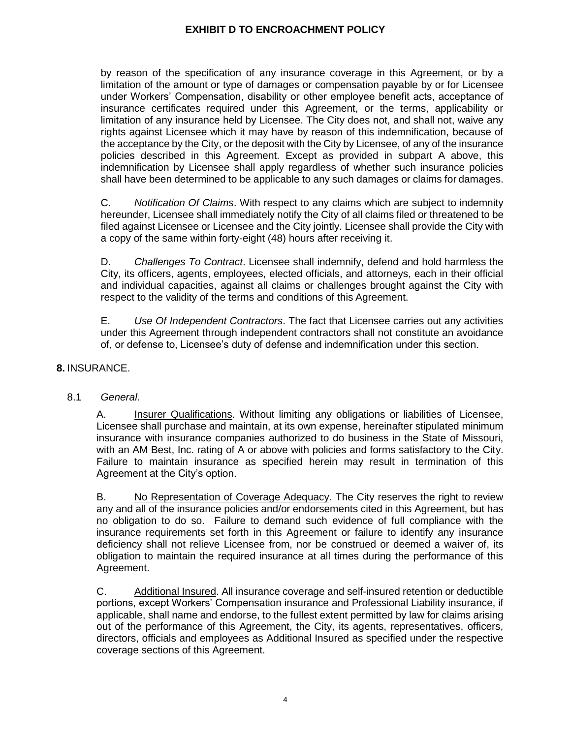by reason of the specification of any insurance coverage in this Agreement, or by a limitation of the amount or type of damages or compensation payable by or for Licensee under Workers' Compensation, disability or other employee benefit acts, acceptance of insurance certificates required under this Agreement, or the terms, applicability or limitation of any insurance held by Licensee. The City does not, and shall not, waive any rights against Licensee which it may have by reason of this indemnification, because of the acceptance by the City, or the deposit with the City by Licensee, of any of the insurance policies described in this Agreement. Except as provided in subpart A above, this indemnification by Licensee shall apply regardless of whether such insurance policies shall have been determined to be applicable to any such damages or claims for damages.

C. *Notification Of Claims*. With respect to any claims which are subject to indemnity hereunder, Licensee shall immediately notify the City of all claims filed or threatened to be filed against Licensee or Licensee and the City jointly. Licensee shall provide the City with a copy of the same within forty-eight (48) hours after receiving it.

D. *Challenges To Contract*. Licensee shall indemnify, defend and hold harmless the City, its officers, agents, employees, elected officials, and attorneys, each in their official and individual capacities, against all claims or challenges brought against the City with respect to the validity of the terms and conditions of this Agreement.

E. *Use Of Independent Contractors*. The fact that Licensee carries out any activities under this Agreement through independent contractors shall not constitute an avoidance of, or defense to, Licensee's duty of defense and indemnification under this section.

## **8.** INSURANCE.

## 8.1 *General*.

A. Insurer Qualifications. Without limiting any obligations or liabilities of Licensee, Licensee shall purchase and maintain, at its own expense, hereinafter stipulated minimum insurance with insurance companies authorized to do business in the State of Missouri, with an AM Best, Inc. rating of A or above with policies and forms satisfactory to the City. Failure to maintain insurance as specified herein may result in termination of this Agreement at the City's option.

B. No Representation of Coverage Adequacy. The City reserves the right to review any and all of the insurance policies and/or endorsements cited in this Agreement, but has no obligation to do so. Failure to demand such evidence of full compliance with the insurance requirements set forth in this Agreement or failure to identify any insurance deficiency shall not relieve Licensee from, nor be construed or deemed a waiver of, its obligation to maintain the required insurance at all times during the performance of this Agreement.

C. Additional Insured. All insurance coverage and self-insured retention or deductible portions, except Workers' Compensation insurance and Professional Liability insurance, if applicable, shall name and endorse, to the fullest extent permitted by law for claims arising out of the performance of this Agreement, the City, its agents, representatives, officers, directors, officials and employees as Additional Insured as specified under the respective coverage sections of this Agreement.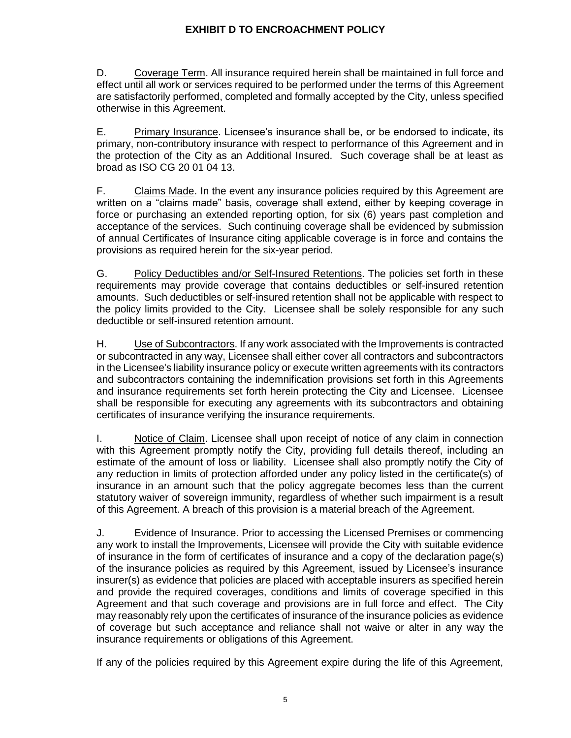D. Coverage Term. All insurance required herein shall be maintained in full force and effect until all work or services required to be performed under the terms of this Agreement are satisfactorily performed, completed and formally accepted by the City, unless specified otherwise in this Agreement.

E. Primary Insurance. Licensee's insurance shall be, or be endorsed to indicate, its primary, non-contributory insurance with respect to performance of this Agreement and in the protection of the City as an Additional Insured. Such coverage shall be at least as broad as ISO CG 20 01 04 13.

F. Claims Made. In the event any insurance policies required by this Agreement are written on a "claims made" basis, coverage shall extend, either by keeping coverage in force or purchasing an extended reporting option, for six (6) years past completion and acceptance of the services. Such continuing coverage shall be evidenced by submission of annual Certificates of Insurance citing applicable coverage is in force and contains the provisions as required herein for the six-year period.

G. Policy Deductibles and/or Self-Insured Retentions. The policies set forth in these requirements may provide coverage that contains deductibles or self-insured retention amounts. Such deductibles or self-insured retention shall not be applicable with respect to the policy limits provided to the City. Licensee shall be solely responsible for any such deductible or self-insured retention amount.

H. Use of Subcontractors. If any work associated with the Improvements is contracted or subcontracted in any way, Licensee shall either cover all contractors and subcontractors in the Licensee's liability insurance policy or execute written agreements with its contractors and subcontractors containing the indemnification provisions set forth in this Agreements and insurance requirements set forth herein protecting the City and Licensee. Licensee shall be responsible for executing any agreements with its subcontractors and obtaining certificates of insurance verifying the insurance requirements.

I. Notice of Claim. Licensee shall upon receipt of notice of any claim in connection with this Agreement promptly notify the City, providing full details thereof, including an estimate of the amount of loss or liability. Licensee shall also promptly notify the City of any reduction in limits of protection afforded under any policy listed in the certificate(s) of insurance in an amount such that the policy aggregate becomes less than the current statutory waiver of sovereign immunity, regardless of whether such impairment is a result of this Agreement. A breach of this provision is a material breach of the Agreement.

J. Evidence of Insurance. Prior to accessing the Licensed Premises or commencing any work to install the Improvements, Licensee will provide the City with suitable evidence of insurance in the form of certificates of insurance and a copy of the declaration page(s) of the insurance policies as required by this Agreement, issued by Licensee's insurance insurer(s) as evidence that policies are placed with acceptable insurers as specified herein and provide the required coverages, conditions and limits of coverage specified in this Agreement and that such coverage and provisions are in full force and effect. The City may reasonably rely upon the certificates of insurance of the insurance policies as evidence of coverage but such acceptance and reliance shall not waive or alter in any way the insurance requirements or obligations of this Agreement.

If any of the policies required by this Agreement expire during the life of this Agreement,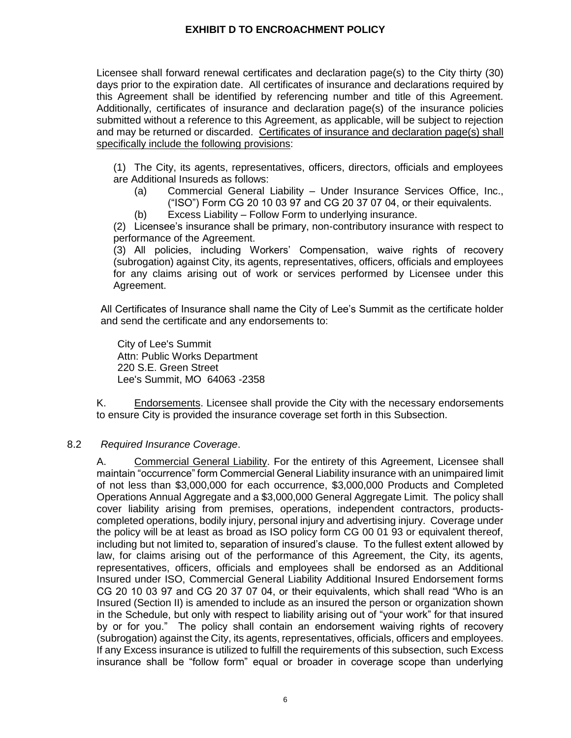Licensee shall forward renewal certificates and declaration page(s) to the City thirty (30) days prior to the expiration date. All certificates of insurance and declarations required by this Agreement shall be identified by referencing number and title of this Agreement. Additionally, certificates of insurance and declaration page(s) of the insurance policies submitted without a reference to this Agreement, as applicable, will be subject to rejection and may be returned or discarded. Certificates of insurance and declaration page(s) shall specifically include the following provisions:

(1) The City, its agents, representatives, officers, directors, officials and employees are Additional Insureds as follows:

- (a) Commercial General Liability Under Insurance Services Office, Inc., ("ISO") Form CG 20 10 03 97 and CG 20 37 07 04, or their equivalents.
- (b) Excess Liability Follow Form to underlying insurance.

(2) Licensee's insurance shall be primary, non-contributory insurance with respect to performance of the Agreement.

(3) All policies, including Workers' Compensation, waive rights of recovery (subrogation) against City, its agents, representatives, officers, officials and employees for any claims arising out of work or services performed by Licensee under this Agreement.

All Certificates of Insurance shall name the City of Lee's Summit as the certificate holder and send the certificate and any endorsements to:

City of Lee's Summit Attn: Public Works Department 220 S.E. Green Street Lee's Summit, MO 64063 -2358

K. Endorsements. Licensee shall provide the City with the necessary endorsements to ensure City is provided the insurance coverage set forth in this Subsection.

## 8.2 *Required Insurance Coverage*.

A. Commercial General Liability. For the entirety of this Agreement, Licensee shall maintain "occurrence" form Commercial General Liability insurance with an unimpaired limit of not less than \$3,000,000 for each occurrence, \$3,000,000 Products and Completed Operations Annual Aggregate and a \$3,000,000 General Aggregate Limit. The policy shall cover liability arising from premises, operations, independent contractors, productscompleted operations, bodily injury, personal injury and advertising injury. Coverage under the policy will be at least as broad as ISO policy form CG 00 01 93 or equivalent thereof, including but not limited to, separation of insured's clause. To the fullest extent allowed by law, for claims arising out of the performance of this Agreement, the City, its agents, representatives, officers, officials and employees shall be endorsed as an Additional Insured under ISO, Commercial General Liability Additional Insured Endorsement forms CG 20 10 03 97 and CG 20 37 07 04, or their equivalents, which shall read "Who is an Insured (Section II) is amended to include as an insured the person or organization shown in the Schedule, but only with respect to liability arising out of "your work" for that insured by or for you." The policy shall contain an endorsement waiving rights of recovery (subrogation) against the City, its agents, representatives, officials, officers and employees. If any Excess insurance is utilized to fulfill the requirements of this subsection, such Excess insurance shall be "follow form" equal or broader in coverage scope than underlying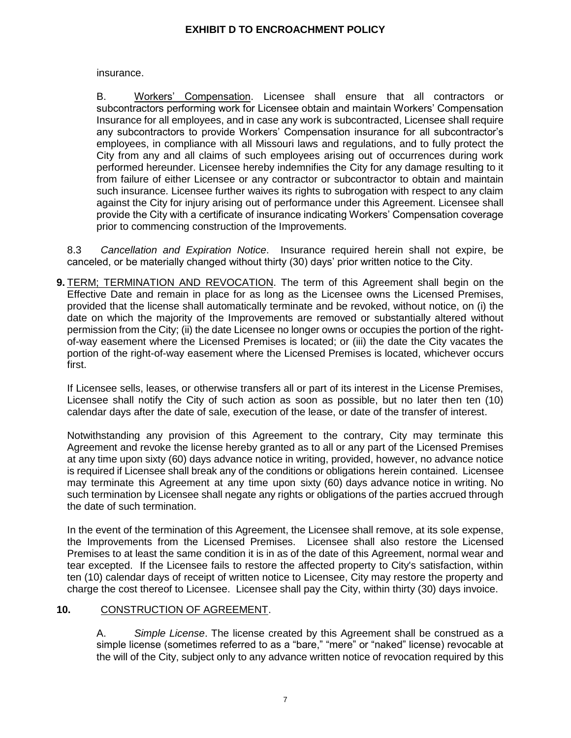insurance.

B. Workers' Compensation. Licensee shall ensure that all contractors or subcontractors performing work for Licensee obtain and maintain Workers' Compensation Insurance for all employees, and in case any work is subcontracted, Licensee shall require any subcontractors to provide Workers' Compensation insurance for all subcontractor's employees, in compliance with all Missouri laws and regulations, and to fully protect the City from any and all claims of such employees arising out of occurrences during work performed hereunder. Licensee hereby indemnifies the City for any damage resulting to it from failure of either Licensee or any contractor or subcontractor to obtain and maintain such insurance. Licensee further waives its rights to subrogation with respect to any claim against the City for injury arising out of performance under this Agreement. Licensee shall provide the City with a certificate of insurance indicating Workers' Compensation coverage prior to commencing construction of the Improvements.

8.3 *Cancellation and Expiration Notice*. Insurance required herein shall not expire, be canceled, or be materially changed without thirty (30) days' prior written notice to the City.

**9.** TERM; TERMINATION AND REVOCATION. The term of this Agreement shall begin on the Effective Date and remain in place for as long as the Licensee owns the Licensed Premises, provided that the license shall automatically terminate and be revoked, without notice, on (i) the date on which the majority of the Improvements are removed or substantially altered without permission from the City; (ii) the date Licensee no longer owns or occupies the portion of the rightof-way easement where the Licensed Premises is located; or (iii) the date the City vacates the portion of the right-of-way easement where the Licensed Premises is located, whichever occurs first.

If Licensee sells, leases, or otherwise transfers all or part of its interest in the License Premises, Licensee shall notify the City of such action as soon as possible, but no later then ten (10) calendar days after the date of sale, execution of the lease, or date of the transfer of interest.

Notwithstanding any provision of this Agreement to the contrary, City may terminate this Agreement and revoke the license hereby granted as to all or any part of the Licensed Premises at any time upon sixty (60) days advance notice in writing, provided, however, no advance notice is required if Licensee shall break any of the conditions or obligations herein contained. Licensee may terminate this Agreement at any time upon sixty (60) days advance notice in writing. No such termination by Licensee shall negate any rights or obligations of the parties accrued through the date of such termination.

In the event of the termination of this Agreement, the Licensee shall remove, at its sole expense, the Improvements from the Licensed Premises. Licensee shall also restore the Licensed Premises to at least the same condition it is in as of the date of this Agreement, normal wear and tear excepted. If the Licensee fails to restore the affected property to City's satisfaction, within ten (10) calendar days of receipt of written notice to Licensee, City may restore the property and charge the cost thereof to Licensee. Licensee shall pay the City, within thirty (30) days invoice.

## **10.** CONSTRUCTION OF AGREEMENT.

A. *Simple License*. The license created by this Agreement shall be construed as a simple license (sometimes referred to as a "bare," "mere" or "naked" license) revocable at the will of the City, subject only to any advance written notice of revocation required by this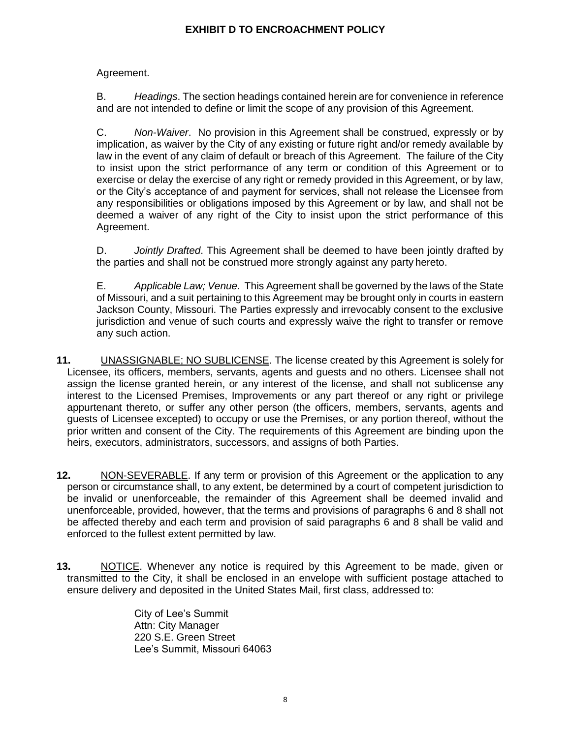Agreement.

B. *Headings*. The section headings contained herein are for convenience in reference and are not intended to define or limit the scope of any provision of this Agreement.

C. *Non-Waiver*. No provision in this Agreement shall be construed, expressly or by implication, as waiver by the City of any existing or future right and/or remedy available by law in the event of any claim of default or breach of this Agreement. The failure of the City to insist upon the strict performance of any term or condition of this Agreement or to exercise or delay the exercise of any right or remedy provided in this Agreement, or by law, or the City's acceptance of and payment for services, shall not release the Licensee from any responsibilities or obligations imposed by this Agreement or by law, and shall not be deemed a waiver of any right of the City to insist upon the strict performance of this Agreement.

D. *Jointly Drafted*. This Agreement shall be deemed to have been jointly drafted by the parties and shall not be construed more strongly against any party hereto.

E. *Applicable Law; Venue*. This Agreement shall be governed by the laws of the State of Missouri, and a suit pertaining to this Agreement may be brought only in courts in eastern Jackson County, Missouri. The Parties expressly and irrevocably consent to the exclusive jurisdiction and venue of such courts and expressly waive the right to transfer or remove any such action.

- **11.** UNASSIGNABLE; NO SUBLICENSE. The license created by this Agreement is solely for Licensee, its officers, members, servants, agents and guests and no others. Licensee shall not assign the license granted herein, or any interest of the license, and shall not sublicense any interest to the Licensed Premises, Improvements or any part thereof or any right or privilege appurtenant thereto, or suffer any other person (the officers, members, servants, agents and guests of Licensee excepted) to occupy or use the Premises, or any portion thereof, without the prior written and consent of the City. The requirements of this Agreement are binding upon the heirs, executors, administrators, successors, and assigns of both Parties.
- **12.** NON-SEVERABLE. If any term or provision of this Agreement or the application to any person or circumstance shall, to any extent, be determined by a court of competent jurisdiction to be invalid or unenforceable, the remainder of this Agreement shall be deemed invalid and unenforceable, provided, however, that the terms and provisions of paragraphs 6 and 8 shall not be affected thereby and each term and provision of said paragraphs 6 and 8 shall be valid and enforced to the fullest extent permitted by law.
- **13.** NOTICE. Whenever any notice is required by this Agreement to be made, given or transmitted to the City, it shall be enclosed in an envelope with sufficient postage attached to ensure delivery and deposited in the United States Mail, first class, addressed to:

City of Lee's Summit Attn: City Manager 220 S.E. Green Street Lee's Summit, Missouri 64063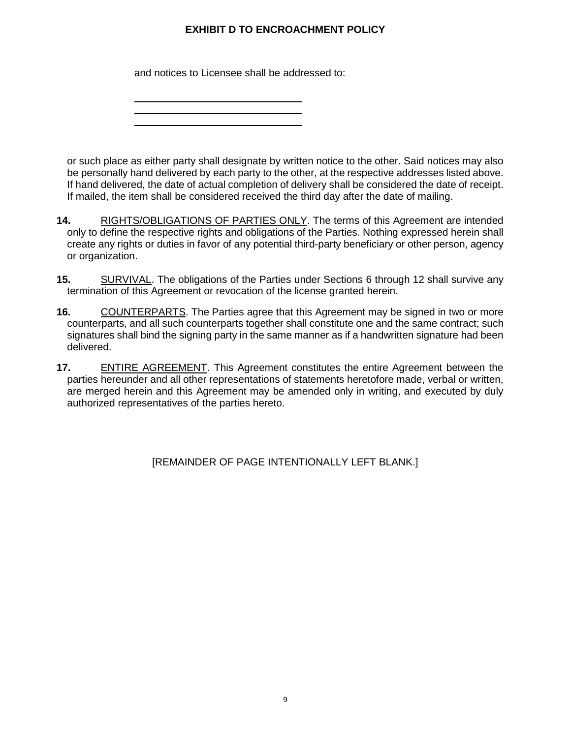and notices to Licensee shall be addressed to:

or such place as either party shall designate by written notice to the other. Said notices may also be personally hand delivered by each party to the other, at the respective addresses listed above. If hand delivered, the date of actual completion of delivery shall be considered the date of receipt. If mailed, the item shall be considered received the third day after the date of mailing.

- **14.** RIGHTS/OBLIGATIONS OF PARTIES ONLY. The terms of this Agreement are intended only to define the respective rights and obligations of the Parties. Nothing expressed herein shall create any rights or duties in favor of any potential third-party beneficiary or other person, agency or organization.
- **15.** SURVIVAL. The obligations of the Parties under Sections 6 through 12 shall survive any termination of this Agreement or revocation of the license granted herein.
- **16.** COUNTERPARTS. The Parties agree that this Agreement may be signed in two or more counterparts, and all such counterparts together shall constitute one and the same contract; such signatures shall bind the signing party in the same manner as if a handwritten signature had been delivered.
- **17.** ENTIRE AGREEMENT. This Agreement constitutes the entire Agreement between the parties hereunder and all other representations of statements heretofore made, verbal or written, are merged herein and this Agreement may be amended only in writing, and executed by duly authorized representatives of the parties hereto.

[REMAINDER OF PAGE INTENTIONALLY LEFT BLANK.]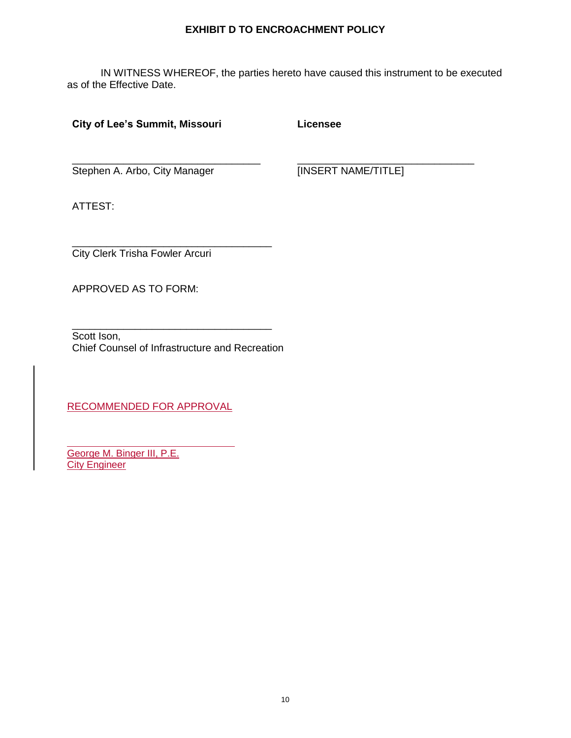IN WITNESS WHEREOF, the parties hereto have caused this instrument to be executed as of the Effective Date.

## **City of Lee's Summit, Missouri**

**Licensee**

Stephen A. Arbo, City Manager

\_\_\_\_\_\_\_\_\_\_\_\_\_\_\_\_\_\_\_\_\_\_\_\_\_\_\_\_\_\_\_\_\_

[INSERT NAME/TITLE]

\_\_\_\_\_\_\_\_\_\_\_\_\_\_\_\_\_\_\_\_\_\_\_\_\_\_\_\_\_\_\_

ATTEST:

\_\_\_\_\_\_\_\_\_\_\_\_\_\_\_\_\_\_\_\_\_\_\_\_\_\_\_\_\_\_\_\_\_\_\_ City Clerk Trisha Fowler Arcuri

APPROVED AS TO FORM:

\_\_\_\_\_\_\_\_\_\_\_\_\_\_\_\_\_\_\_\_\_\_\_\_\_\_\_\_\_\_\_\_\_\_\_ Scott Ison, Chief Counsel of Infrastructure and Recreation

RECOMMENDED FOR APPROVAL

George M. Binger III, P.E. **City Engineer**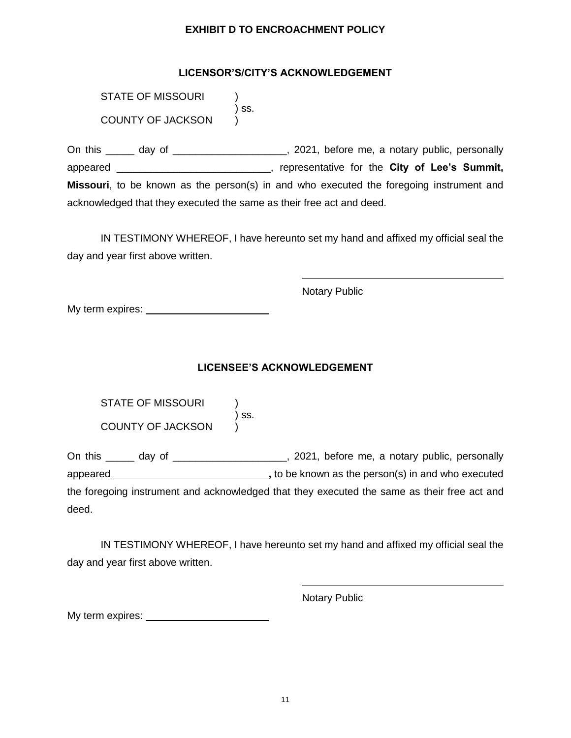## **LICENSOR'S/CITY'S ACKNOWLEDGEMENT**

STATE OF MISSOURI ) ss. COUNTY OF JACKSON )

On this \_\_\_\_\_ day of \_\_\_\_\_\_\_\_\_\_\_\_\_\_\_\_\_\_\_\_, 2021, before me, a notary public, personally appeared \_\_\_\_\_\_\_\_\_\_\_\_\_\_\_\_\_\_\_\_\_\_\_\_\_\_\_, representative for the **City of Lee's Summit, Missouri**, to be known as the person(s) in and who executed the foregoing instrument and acknowledged that they executed the same as their free act and deed.

IN TESTIMONY WHEREOF, I have hereunto set my hand and affixed my official seal the day and year first above written.

Notary Public

My term expires:

## **LICENSEE'S ACKNOWLEDGEMENT**

| STATE OF MISSOURI |       |
|-------------------|-------|
|                   | ) SS. |
| COUNTY OF JACKSON |       |

On this \_\_\_\_\_ day of \_\_\_\_\_\_\_\_\_\_\_\_\_\_\_\_\_\_\_\_, 2021, before me, a notary public, personally appeared **,** to be known as the person(s) in and who executed the foregoing instrument and acknowledged that they executed the same as their free act and deed.

IN TESTIMONY WHEREOF, I have hereunto set my hand and affixed my official seal the day and year first above written.

Notary Public

My term expires: